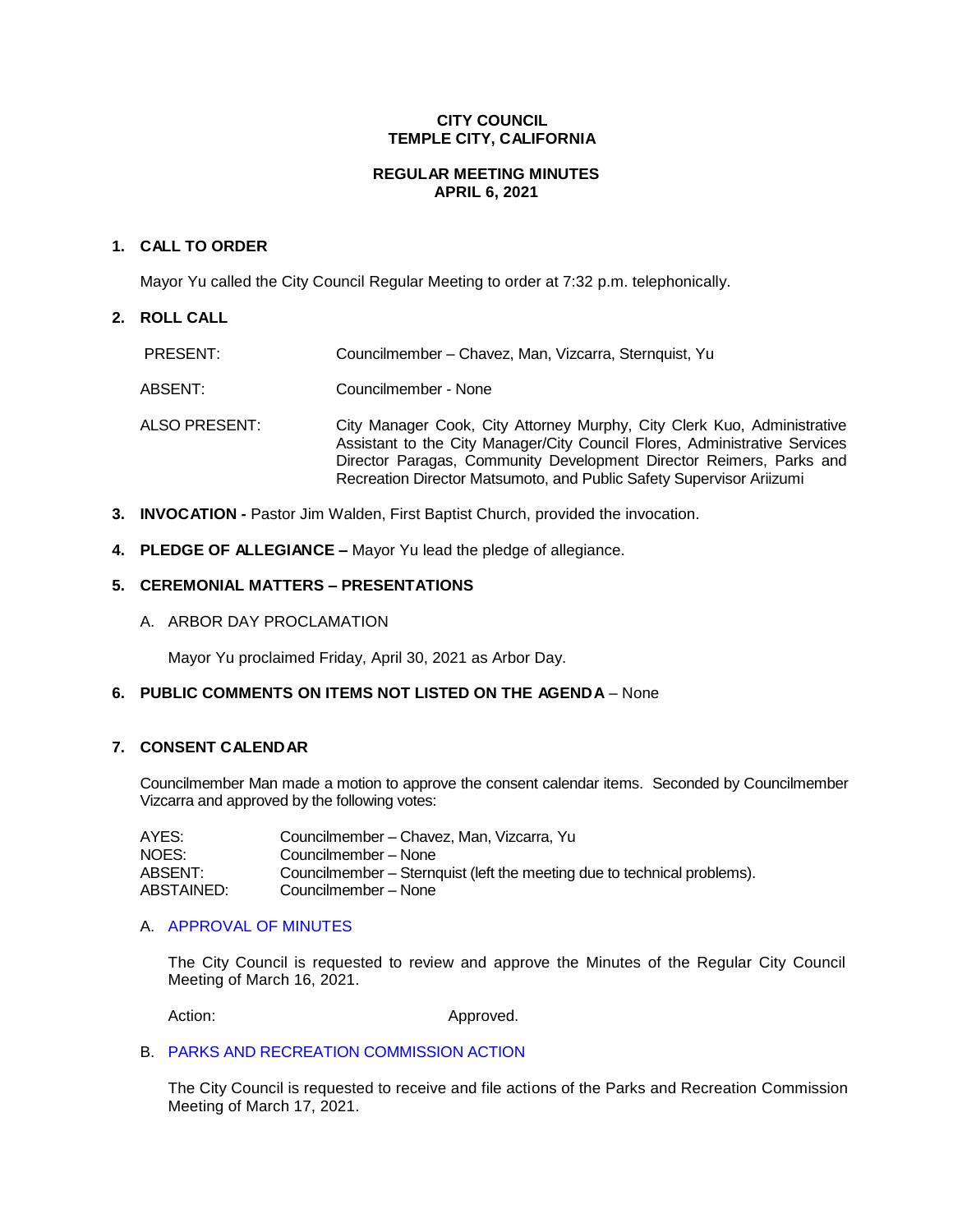# **CITY COUNCIL TEMPLE CITY, CALIFORNIA**

# **REGULAR MEETING MINUTES APRIL 6, 2021**

# **1. CALL TO ORDER**

Mayor Yu called the City Council Regular Meeting to order at 7:32 p.m. telephonically.

# **2. ROLL CALL**

| PRESENT:      | Councilmember – Chavez, Man, Vizcarra, Sternquist, Yu                                                                                                                                                                                                                                                |
|---------------|------------------------------------------------------------------------------------------------------------------------------------------------------------------------------------------------------------------------------------------------------------------------------------------------------|
| ABSENT:       | Councilmember - None                                                                                                                                                                                                                                                                                 |
| ALSO PRESENT: | City Manager Cook, City Attorney Murphy, City Clerk Kuo, Administrative<br>Assistant to the City Manager/City Council Flores, Administrative Services<br>Director Paragas, Community Development Director Reimers, Parks and<br>Recreation Director Matsumoto, and Public Safety Supervisor Ariizumi |

- **3. INVOCATION -** Pastor Jim Walden, First Baptist Church, provided the invocation.
- **4. PLEDGE OF ALLEGIANCE –** Mayor Yu lead the pledge of allegiance.

# **5. CEREMONIAL MATTERS – PRESENTATIONS**

A. ARBOR DAY PROCLAMATION

Mayor Yu proclaimed Friday, April 30, 2021 as Arbor Day.

# **6. PUBLIC COMMENTS ON ITEMS NOT LISTED ON THE AGENDA** – None

## **7. CONSENT CALENDAR**

Councilmember Man made a motion to approve the consent calendar items. Seconded by Councilmember Vizcarra and approved by the following votes:

| AYES:      | Councilmember – Chavez, Man. Vizcarra. Yu                                |
|------------|--------------------------------------------------------------------------|
| NOES:      | Councilmember – None                                                     |
| ABSENT:    | Councilmember – Sternquist (left the meeting due to technical problems). |
| ABSTAINED: | Councilmember – None                                                     |

## A. [APPROVAL](https://ca-templecity.civicplus.com/DocumentCenter/View/16054/02_7A_CCM---2021-03-16) OF MINUTES

The City Council is requested to review and approve the Minutes of the Regular City Council Meeting of March 16, 2021.

Action: Approved.

# B. [PARKS AND RECREATION](https://ca-templecity.civicplus.com/DocumentCenter/View/16055/03_7B_PRC-Regular-Meeting-Actions_Staff-Report-2021-4-6) COMMISSION ACTION

The City Council is requested to receive and file actions of the Parks and Recreation Commission Meeting of March 17, 2021.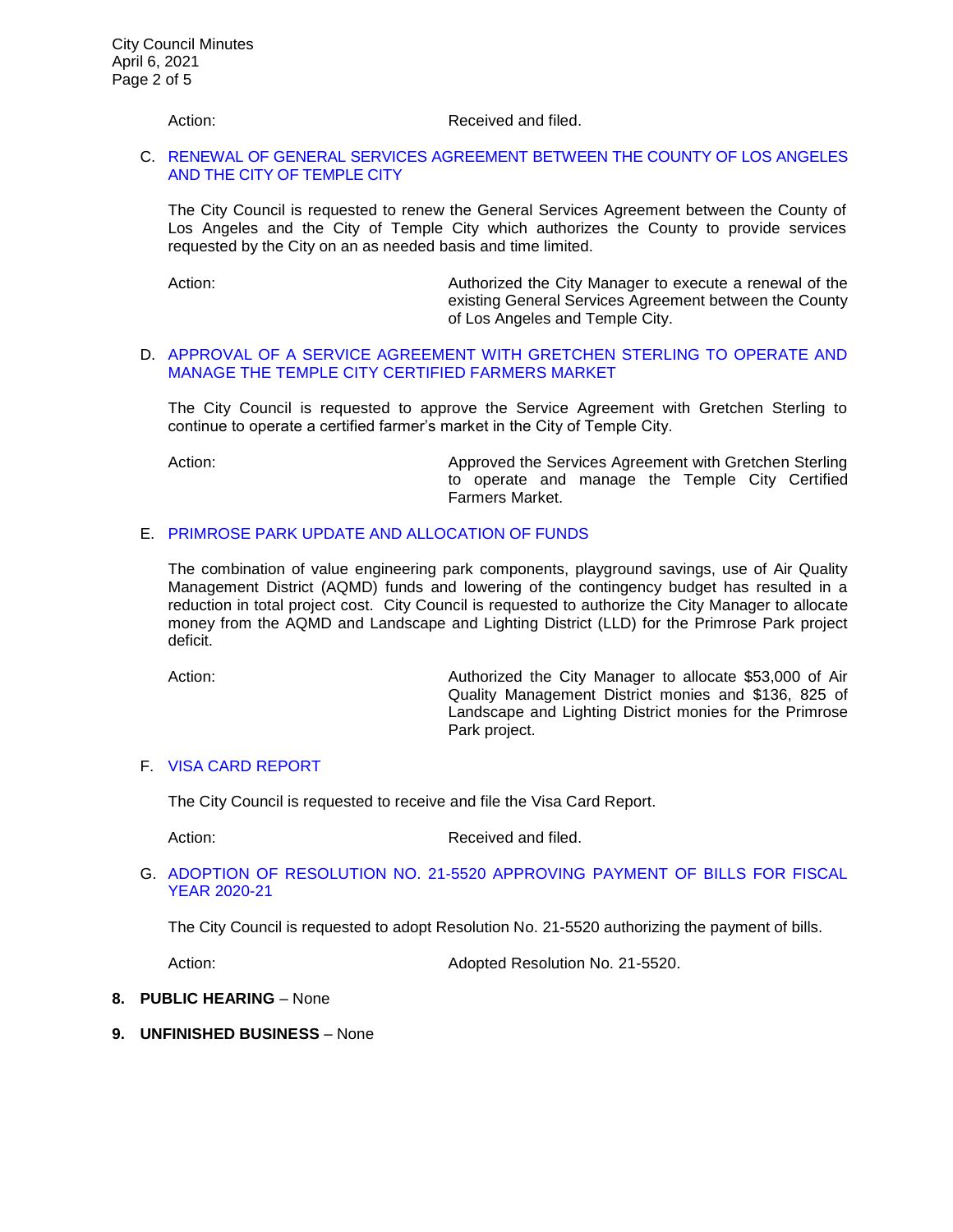#### Action: Received and filed.

#### C. [RENEWAL OF GENERAL SERVICES AGREEMENT BETWEEN THE COUNTY OF LOS ANGELES](https://ca-templecity.civicplus.com/DocumentCenter/View/16056/04_7C_LA-County-General-Services-Agreement_final-w-attachment)  [AND THE CITY OF TEMPLE CITY](https://ca-templecity.civicplus.com/DocumentCenter/View/16056/04_7C_LA-County-General-Services-Agreement_final-w-attachment)

The City Council is requested to renew the General Services Agreement between the County of Los Angeles and the City of Temple City which authorizes the County to provide services requested by the City on an as needed basis and time limited.

Action: Authorized the City Manager to execute a renewal of the existing General Services Agreement between the County of Los Angeles and Temple City.

#### D. [APPROVAL OF A SERVICE AGREEMENT WITH GRETCHEN STERLING TO OPERATE AND](https://ca-templecity.civicplus.com/DocumentCenter/View/16057/05_7D_Farmers-Market-Agreement_Staff-Report-2021_final-w-attachment)  [MANAGE THE TEMPLE CITY CERTIFIED FARMERS MARKET](https://ca-templecity.civicplus.com/DocumentCenter/View/16057/05_7D_Farmers-Market-Agreement_Staff-Report-2021_final-w-attachment)

The City Council is requested to approve the Service Agreement with Gretchen Sterling to continue to operate a certified farmer's market in the City of Temple City.

Action: **Action:** Approved the Services Agreement with Gretchen Sterling to operate and manage the Temple City Certified Farmers Market.

# E. [PRIMROSE PARK UPDATE AND ALLOCATION OF FUNDS](https://ca-templecity.civicplus.com/DocumentCenter/View/16058/06_7E_Primrose-Park-Update-and-Allocation-of-Funds---Staff-Report-w-attachment)

The combination of value engineering park components, playground savings, use of Air Quality Management District (AQMD) funds and lowering of the contingency budget has resulted in a reduction in total project cost. City Council is requested to authorize the City Manager to allocate money from the AQMD and Landscape and Lighting District (LLD) for the Primrose Park project deficit.

Action: **Authorized the City Manager to allocate \$53,000 of Air** Quality Management District monies and \$136, 825 of Landscape and Lighting District monies for the Primrose Park project.

#### F. [VISA CARD REPORT](https://ca-templecity.civicplus.com/DocumentCenter/View/16067/07_7F_Visa-Card-Report)

The City Council is requested to receive and file the Visa Card Report.

Action: Received and filed.

## G. ADOPTION OF RESOLUTION NO. 21-5520 [APPROVING PAYMENT OF BILLS FOR FISCAL](https://ca-templecity.civicplus.com/DocumentCenter/View/16059/08_7G_Reso-No-21-5520-040621---Warrants--Demands-FY-2020-2021)  [YEAR 2020-21](https://ca-templecity.civicplus.com/DocumentCenter/View/16059/08_7G_Reso-No-21-5520-040621---Warrants--Demands-FY-2020-2021)

The City Council is requested to adopt Resolution No. 21-5520 authorizing the payment of bills.

Action: Adopted Resolution No. 21-5520.

#### **8. PUBLIC HEARING** – None

**9. UNFINISHED BUSINESS** – None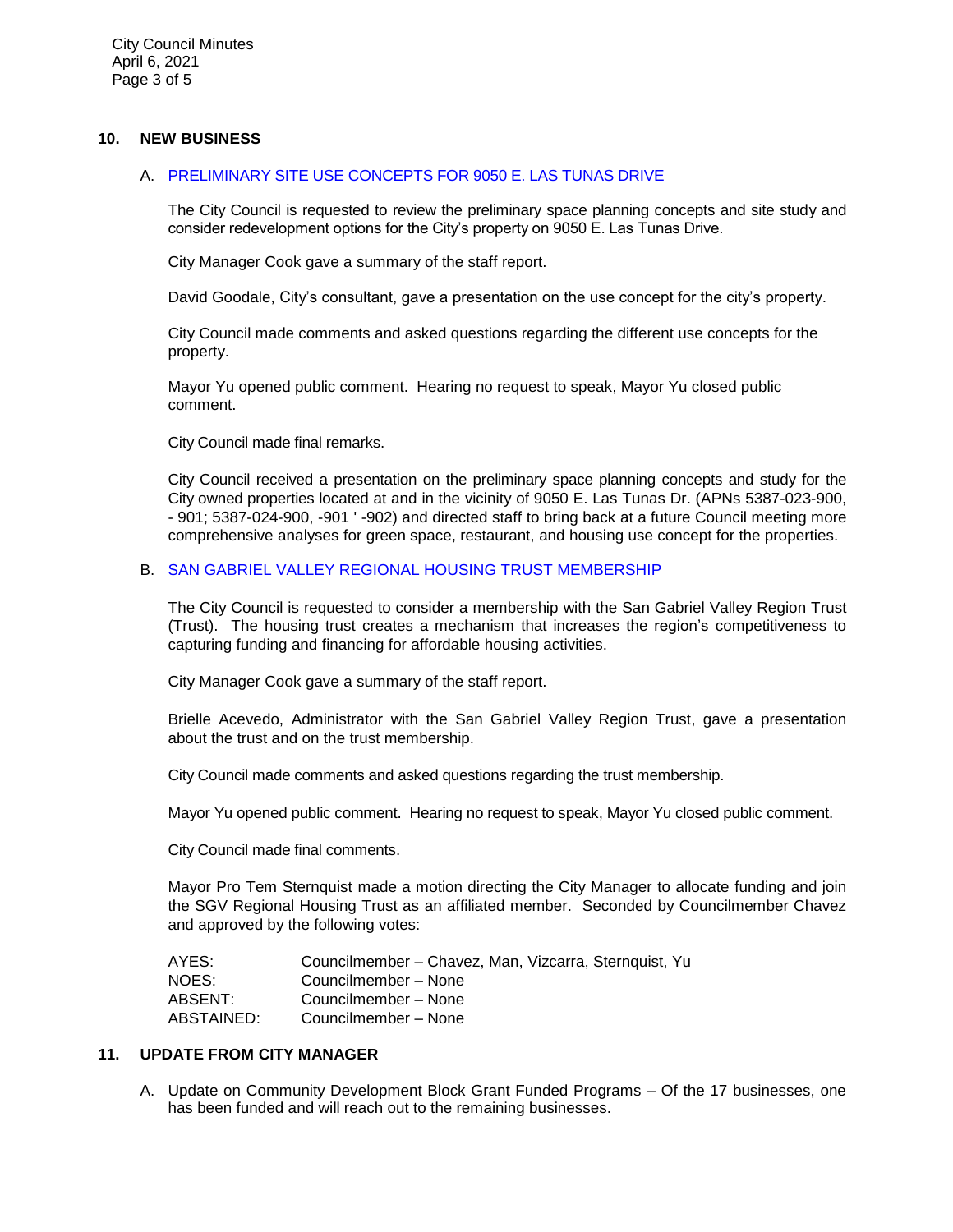City Council Minutes April 6, 2021 Page 3 of 5

## **10. NEW BUSINESS**

## A. [PRELIMINARY SITE USE CONCEPTS FOR 9050 E. LAS TUNAS DRIVE](https://ca-templecity.civicplus.com/DocumentCenter/View/16062/09_10A_9050-Las-Tunas-Dr_Staff-Report-Use-Concept_final-w-attachments)

The City Council is requested to review the preliminary space planning concepts and site study and consider redevelopment options for the City's property on 9050 E. Las Tunas Drive.

City Manager Cook gave a summary of the staff report.

David Goodale, City's consultant, gave a presentation on the use concept for the city's property.

City Council made comments and asked questions regarding the different use concepts for the property.

Mayor Yu opened public comment. Hearing no request to speak, Mayor Yu closed public comment.

City Council made final remarks.

City Council received a presentation on the preliminary space planning concepts and study for the City owned properties located at and in the vicinity of 9050 E. Las Tunas Dr. (APNs 5387-023-900, - 901; 5387-024-900, -901 ' -902) and directed staff to bring back at a future Council meeting more comprehensive analyses for green space, restaurant, and housing use concept for the properties.

# B. SAN GABRIEL VALLEY REGIONAL HOUSING TRUST [MEMBERSHIP](https://ca-templecity.civicplus.com/DocumentCenter/View/16060/10_10B---SGV-Regional-Housing-Trust_Staff-Report_final-w-attachments)

The City Council is requested to consider a membership with the San Gabriel Valley Region Trust (Trust). The housing trust creates a mechanism that increases the region's competitiveness to capturing funding and financing for affordable housing activities.

City Manager Cook gave a summary of the staff report.

Brielle Acevedo, Administrator with the San Gabriel Valley Region Trust, gave a presentation about the trust and on the trust membership.

City Council made comments and asked questions regarding the trust membership.

Mayor Yu opened public comment. Hearing no request to speak, Mayor Yu closed public comment.

City Council made final comments.

Mayor Pro Tem Sternquist made a motion directing the City Manager to allocate funding and join the SGV Regional Housing Trust as an affiliated member. Seconded by Councilmember Chavez and approved by the following votes:

| AYES:      | Councilmember - Chavez, Man, Vizcarra, Sternquist, Yu |
|------------|-------------------------------------------------------|
| NOES:      | Councilmember – None                                  |
| ABSENT:    | Councilmember – None                                  |
| ABSTAINED: | Councilmember – None                                  |

# **11. UPDATE FROM CITY MANAGER**

A. Update on Community Development Block Grant Funded Programs – Of the 17 businesses, one has been funded and will reach out to the remaining businesses.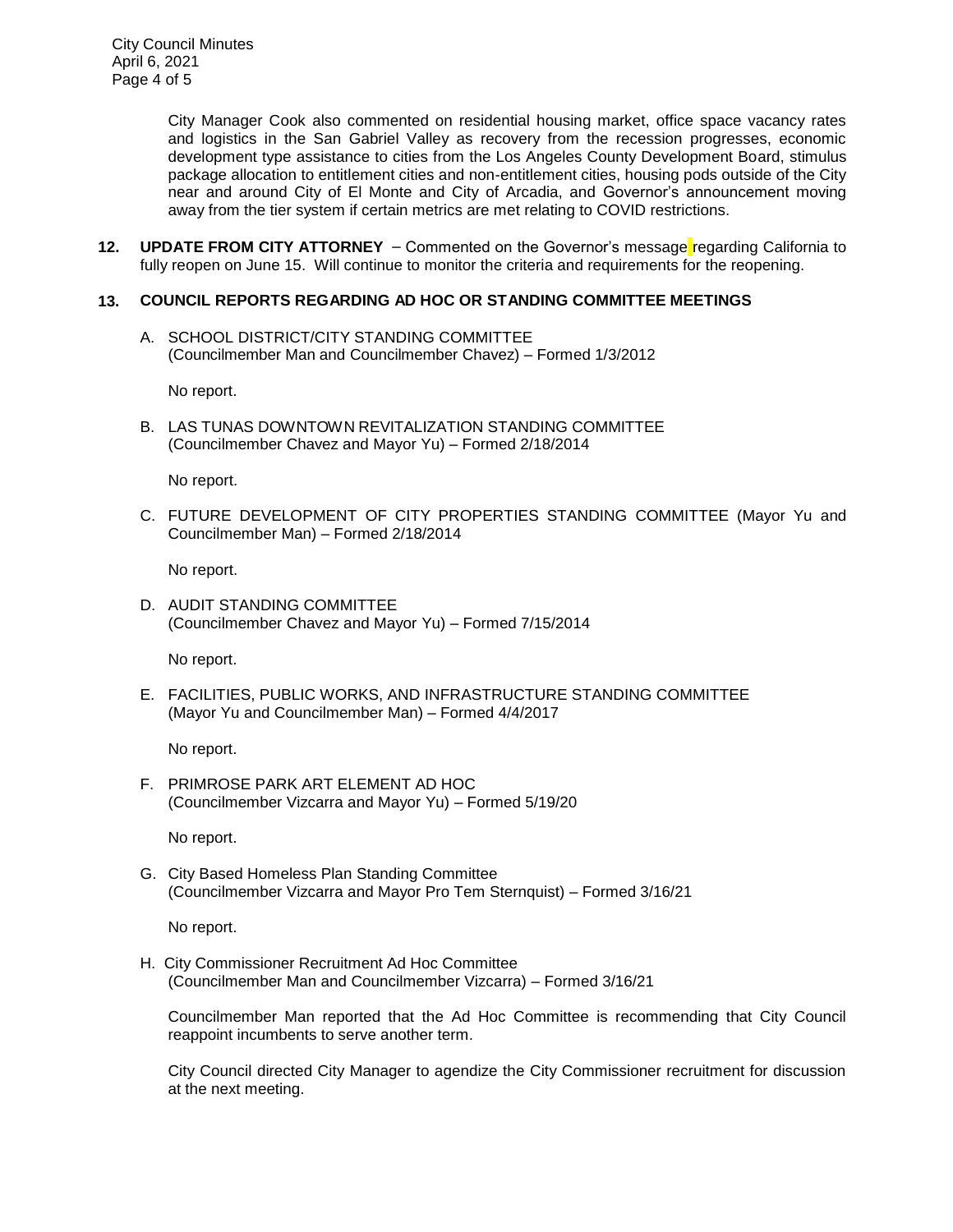City Council Minutes April 6, 2021 Page 4 of 5

> City Manager Cook also commented on residential housing market, office space vacancy rates and logistics in the San Gabriel Valley as recovery from the recession progresses, economic development type assistance to cities from the Los Angeles County Development Board, stimulus package allocation to entitlement cities and non-entitlement cities, housing pods outside of the City near and around City of El Monte and City of Arcadia, and Governor's announcement moving away from the tier system if certain metrics are met relating to COVID restrictions.

**12. UPDATE FROM CITY ATTORNEY** – Commented on the Governor's message regarding California to fully reopen on June 15. Will continue to monitor the criteria and requirements for the reopening.

# **13. COUNCIL REPORTS REGARDING AD HOC OR STANDING COMMITTEE MEETINGS**

A. SCHOOL DISTRICT/CITY STANDING COMMITTEE (Councilmember Man and Councilmember Chavez) – Formed 1/3/2012

No report.

B. LAS TUNAS DOWNTOWN REVITALIZATION STANDING COMMITTEE (Councilmember Chavez and Mayor Yu) – Formed 2/18/2014

No report.

C. FUTURE DEVELOPMENT OF CITY PROPERTIES STANDING COMMITTEE (Mayor Yu and Councilmember Man) – Formed 2/18/2014

No report.

D. AUDIT STANDING COMMITTEE (Councilmember Chavez and Mayor Yu) – Formed 7/15/2014

No report.

E. FACILITIES, PUBLIC WORKS, AND INFRASTRUCTURE STANDING COMMITTEE (Mayor Yu and Councilmember Man) – Formed 4/4/2017

No report.

F. PRIMROSE PARK ART ELEMENT AD HOC (Councilmember Vizcarra and Mayor Yu) – Formed 5/19/20

No report.

G. City Based Homeless Plan Standing Committee (Councilmember Vizcarra and Mayor Pro Tem Sternquist) – Formed 3/16/21

No report.

H. City Commissioner Recruitment Ad Hoc Committee (Councilmember Man and Councilmember Vizcarra) – Formed 3/16/21

Councilmember Man reported that the Ad Hoc Committee is recommending that City Council reappoint incumbents to serve another term.

City Council directed City Manager to agendize the City Commissioner recruitment for discussion at the next meeting.